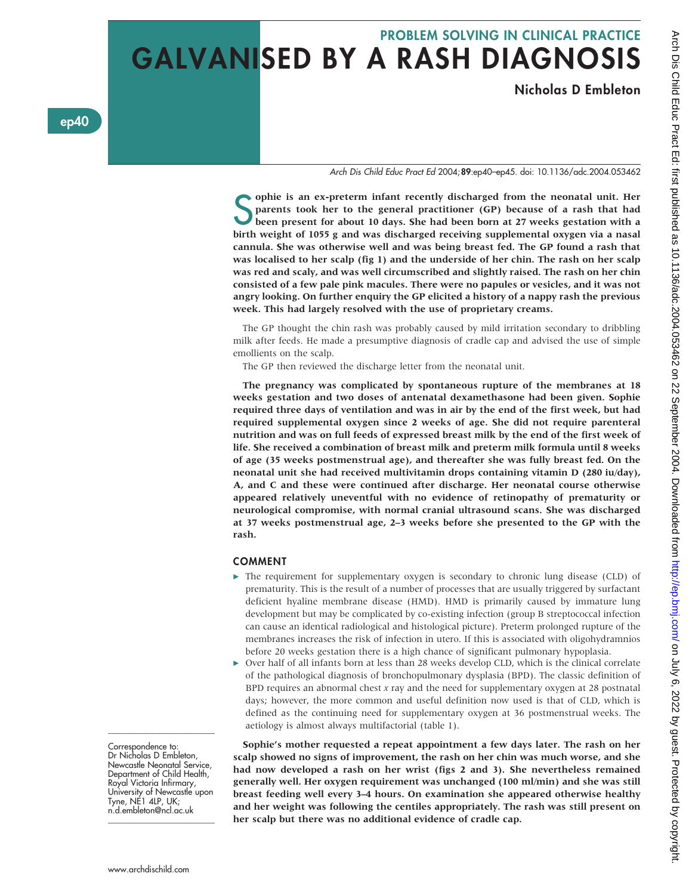# PROBLEM SOLVING IN CLINICAL PRACTICE GALVANISED BY A RASH DIAGNOSIS

Nicholas D Embleton

Arch Dis Child Educ Pract Ed 2004;89:ep40–ep45. doi: 10.1136/adc.2004.053462

Sophie is an ex-preterm infant recently discharged from the neonatal unit. Her<br>parents took her to the general practitioner (GP) because of a rash that had<br>been present for about 10 days. She had been born at 27 weeks gest ophie is an ex-preterm infant recently discharged from the neonatal unit. Her parents took her to the general practitioner (GP) because of a rash that had been present for about 10 days. She had been born at 27 weeks gestation with a cannula. She was otherwise well and was being breast fed. The GP found a rash that was localised to her scalp (fig 1) and the underside of her chin. The rash on her scalp was red and scaly, and was well circumscribed and slightly raised. The rash on her chin consisted of a few pale pink macules. There were no papules or vesicles, and it was not angry looking. On further enquiry the GP elicited a history of a nappy rash the previous week. This had largely resolved with the use of proprietary creams.

The GP thought the chin rash was probably caused by mild irritation secondary to dribbling milk after feeds. He made a presumptive diagnosis of cradle cap and advised the use of simple emollients on the scalp.

The GP then reviewed the discharge letter from the neonatal unit.

The pregnancy was complicated by spontaneous rupture of the membranes at 18 weeks gestation and two doses of antenatal dexamethasone had been given. Sophie required three days of ventilation and was in air by the end of the first week, but had required supplemental oxygen since 2 weeks of age. She did not require parenteral nutrition and was on full feeds of expressed breast milk by the end of the first week of life. She received a combination of breast milk and preterm milk formula until 8 weeks of age (35 weeks postmenstrual age), and thereafter she was fully breast fed. On the neonatal unit she had received multivitamin drops containing vitamin D (280 iu/day), A, and C and these were continued after discharge. Her neonatal course otherwise appeared relatively uneventful with no evidence of retinopathy of prematurity or neurological compromise, with normal cranial ultrasound scans. She was discharged at 37 weeks postmenstrual age, 2–3 weeks before she presented to the GP with the rash.

#### COMMENT

- $\blacktriangleright$  The requirement for supplementary oxygen is secondary to chronic lung disease (CLD) of prematurity. This is the result of a number of processes that are usually triggered by surfactant deficient hyaline membrane disease (HMD). HMD is primarily caused by immature lung development but may be complicated by co-existing infection (group B streptococcal infection can cause an identical radiological and histological picture). Preterm prolonged rupture of the membranes increases the risk of infection in utero. If this is associated with oligohydramnios before 20 weeks gestation there is a high chance of significant pulmonary hypoplasia.
- Over half of all infants born at less than 28 weeks develop CLD, which is the clinical correlate of the pathological diagnosis of bronchopulmonary dysplasia (BPD). The classic definition of BPD requires an abnormal chest  $x$  ray and the need for supplementary oxygen at 28 postnatal days; however, the more common and useful definition now used is that of CLD, which is defined as the continuing need for supplementary oxygen at 36 postmenstrual weeks. The aetiology is almost always multifactorial (table 1).

Sophie's mother requested a repeat appointment a few days later. The rash on her scalp showed no signs of improvement, the rash on her chin was much worse, and she had now developed a rash on her wrist (figs 2 and 3). She nevertheless remained generally well. Her oxygen requirement was unchanged (100 ml/min) and she was still breast feeding well every 3–4 hours. On examination she appeared otherwise healthy and her weight was following the centiles appropriately. The rash was still present on her scalp but there was no additional evidence of cradle cap.

\_\_\_\_\_\_\_\_\_\_\_\_\_\_\_\_\_\_\_\_\_\_\_\_\_

\_\_\_\_\_\_\_\_\_\_\_\_\_\_\_\_\_\_\_\_\_\_\_\_\_

Correspondence to: Dr Nicholas D Embleton, Newcastle Neonatal Service, Department of Child Health, Royal Victoria Infirmary, University of Newcastle upon Tyne, NE1 4LP, UK; n.d.embleton@ncl.ac.uk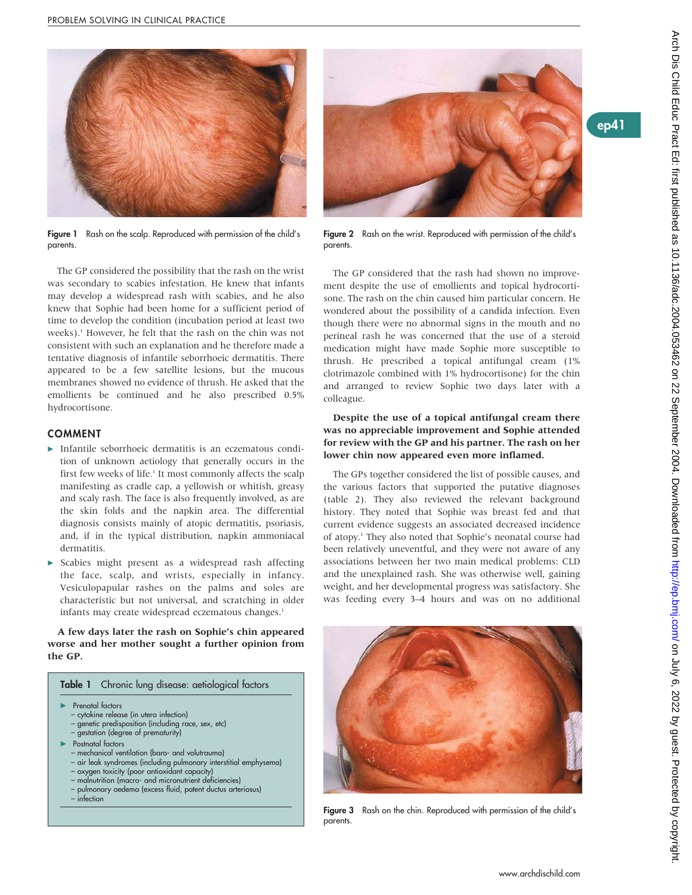

Figure 1 Rash on the scalp. Reproduced with permission of the child's parents.

The GP considered the possibility that the rash on the wrist was secondary to scabies infestation. He knew that infants may develop a widespread rash with scabies, and he also knew that Sophie had been home for a sufficient period of time to develop the condition (incubation period at least two weeks).<sup>1</sup> However, he felt that the rash on the chin was not consistent with such an explanation and he therefore made a tentative diagnosis of infantile seborrhoeic dermatitis. There appeared to be a few satellite lesions, but the mucous membranes showed no evidence of thrush. He asked that the emollients be continued and he also prescribed 0.5% hydrocortisone.

## COMMENT

- $\blacktriangleright$  Infantile seborrhoeic dermatitis is an eczematous condition of unknown aetiology that generally occurs in the first few weeks of life.<sup>1</sup> It most commonly affects the scalp manifesting as cradle cap, a yellowish or whitish, greasy and scaly rash. The face is also frequently involved, as are the skin folds and the napkin area. The differential diagnosis consists mainly of atopic dermatitis, psoriasis, and, if in the typical distribution, napkin ammoniacal dermatitis.
- Scabies might present as a widespread rash affecting the face, scalp, and wrists, especially in infancy. Vesiculopapular rashes on the palms and soles are characteristic but not universal, and scratching in older infants may create widespread eczematous changes.<sup>1</sup>

A few days later the rash on Sophie's chin appeared worse and her mother sought a further opinion from the GP.

Table 1 Chronic lung disease: aetiological factors

- Prenatal factors
	- cytokine release (in utero infection)
	- genetic predisposition (including race, sex, etc)
- gestation (degree of prematurity)
- Postnatal factors
- mechanical ventilation (baro- and volutrauma)
- air leak syndromes (including pulmonary interstitial emphysema)
- oxygen toxicity (poor antioxidant capacity)
- malnutrition (macro- and micronutrient deficiencies) – pulmonary oedema (excess fluid, patent ductus arteriosus)
- infection



Figure 2 Rash on the wrist. Reproduced with permission of the child's parents.

The GP considered that the rash had shown no improvement despite the use of emollients and topical hydrocortisone. The rash on the chin caused him particular concern. He wondered about the possibility of a candida infection. Even though there were no abnormal signs in the mouth and no perineal rash he was concerned that the use of a steroid medication might have made Sophie more susceptible to thrush. He prescribed a topical antifungal cream (1% clotrimazole combined with 1% hydrocortisone) for the chin and arranged to review Sophie two days later with a colleague.

# Despite the use of a topical antifungal cream there was no appreciable improvement and Sophie attended for review with the GP and his partner. The rash on her lower chin now appeared even more inflamed.

The GPs together considered the list of possible causes, and the various factors that supported the putative diagnoses (table 2). They also reviewed the relevant background history. They noted that Sophie was breast fed and that current evidence suggests an associated decreased incidence of atopy.1 They also noted that Sophie's neonatal course had been relatively uneventful, and they were not aware of any associations between her two main medical problems: CLD and the unexplained rash. She was otherwise well, gaining weight, and her developmental progress was satisfactory. She was feeding every 3–4 hours and was on no additional



Figure 3 Rash on the chin. Reproduced with permission of the child's parents.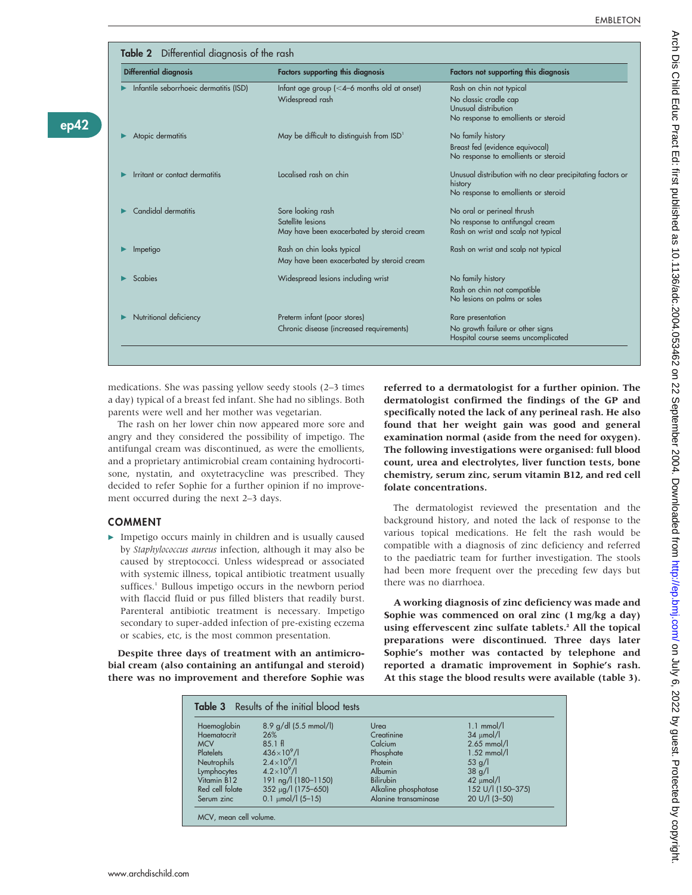| <b>Differential diagnosis</b>          | Factors supporting this diagnosis                                                    | Factors not supporting this diagnosis                                                                             |
|----------------------------------------|--------------------------------------------------------------------------------------|-------------------------------------------------------------------------------------------------------------------|
| Infantile seborrhoeic dermatitis (ISD) | Infant age group $\left( <4-6 \right)$ months old at onset)<br>Widespread rash       | Rash on chin not typical<br>No classic cradle cap<br>Unusual distribution<br>No response to emollients or steroid |
| Atopic dermatitis                      | May be difficult to distinguish from ISD <sup>1</sup>                                | No family history<br>Breast fed (evidence equivocal)<br>No response to emollients or steroid                      |
| Irritant or contact dermatitis         | Localised rash on chin                                                               | Unusual distribution with no clear precipitating factors or<br>history<br>No response to emollients or steroid    |
| Candidal dermatitis                    | Sore looking rash<br>Satellite lesions<br>May have been exacerbated by steroid cream | No oral or perineal thrush<br>No response to antifungal cream<br>Rash on wrist and scalp not typical              |
| Impetigo                               | Rash on chin looks typical<br>May have been exacerbated by steroid cream             | Rash on wrist and scalp not typical                                                                               |
| Scabies                                | Widespread lesions including wrist                                                   | No family history<br>Rash on chin not compatible<br>No lesions on palms or soles                                  |
| Nutritional deficiency                 | Preterm infant (poor stores)                                                         | Rare presentation                                                                                                 |
|                                        | Chronic disease (increased requirements)                                             | No growth failure or other signs<br>Hospital course seems uncomplicated                                           |

medications. She was passing yellow seedy stools (2–3 times a day) typical of a breast fed infant. She had no siblings. Both parents were well and her mother was vegetarian.

The rash on her lower chin now appeared more sore and angry and they considered the possibility of impetigo. The antifungal cream was discontinued, as were the emollients, and a proprietary antimicrobial cream containing hydrocortisone, nystatin, and oxytetracycline was prescribed. They decided to refer Sophie for a further opinion if no improvement occurred during the next 2–3 days.

# COMMENT

ep42

 $\blacktriangleright$  Impetigo occurs mainly in children and is usually caused by Staphylococcus aureus infection, although it may also be caused by streptococci. Unless widespread or associated with systemic illness, topical antibiotic treatment usually suffices.<sup>1</sup> Bullous impetigo occurs in the newborn period with flaccid fluid or pus filled blisters that readily burst. Parenteral antibiotic treatment is necessary. Impetigo secondary to super-added infection of pre-existing eczema or scabies, etc, is the most common presentation.

Despite three days of treatment with an antimicrobial cream (also containing an antifungal and steroid) there was no improvement and therefore Sophie was referred to a dermatologist for a further opinion. The dermatologist confirmed the findings of the GP and specifically noted the lack of any perineal rash. He also found that her weight gain was good and general examination normal (aside from the need for oxygen). The following investigations were organised: full blood count, urea and electrolytes, liver function tests, bone chemistry, serum zinc, serum vitamin B12, and red cell folate concentrations.

The dermatologist reviewed the presentation and the background history, and noted the lack of response to the various topical medications. He felt the rash would be compatible with a diagnosis of zinc deficiency and referred to the paediatric team for further investigation. The stools had been more frequent over the preceding few days but there was no diarrhoea.

A working diagnosis of zinc deficiency was made and Sophie was commenced on oral zinc (1 mg/kg a day) using effervescent zinc sulfate tablets.<sup>2</sup> All the topical preparations were discontinued. Three days later Sophie's mother was contacted by telephone and reported a dramatic improvement in Sophie's rash. At this stage the blood results were available (table 3).

| Haemoglobin        | $8.9$ g/dl (5.5 mmol/l)        | Urea                 | $1.1$ mmol/l      |
|--------------------|--------------------------------|----------------------|-------------------|
| Haematocrit        | 26%                            | Creatinine           | $34 \mu mol/l$    |
| <b>MCV</b>         | 85.1 f                         | Calcium              | $2.65$ mmol/l     |
| <b>Platelets</b>   | $436\times10^{9}$ /l           | Phosphate            | $1.52$ mmol/l     |
| <b>Neutrophils</b> | $2.4 \times 10^{9}$ /l         | Protein              | $53$ g/l          |
| Lymphocytes        | $4.2 \times 10^9$ /l           | <b>Albumin</b>       | $38$ g/l          |
| Vitamin B12        | 191 ng/l (180-1150)            | Bilirubin            | $42 \mu mol/l$    |
| Red cell folate    | 352 µg/l (175-650)             | Alkaline phosphatase | 152 U/l (150-375) |
| Serum zinc         | $0.1 \text{ \mu}$ mol/l (5-15) | Alanine transaminase | 20 U/I (3-50)     |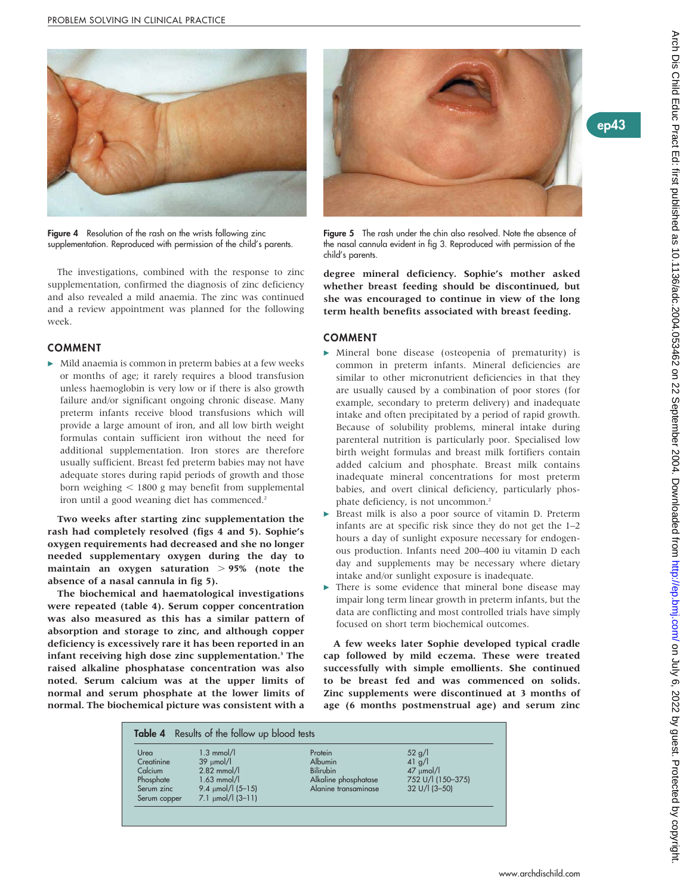

**Figure 4** Resolution of the rash on the wrists following zinc supplementation. Reproduced with permission of the child's parents.

The investigations, combined with the response to zinc supplementation, confirmed the diagnosis of zinc deficiency and also revealed a mild anaemia. The zinc was continued and a review appointment was planned for the following week.

## COMMENT

 $\triangleright$  Mild anaemia is common in preterm babies at a few weeks or months of age; it rarely requires a blood transfusion unless haemoglobin is very low or if there is also growth failure and/or significant ongoing chronic disease. Many preterm infants receive blood transfusions which will provide a large amount of iron, and all low birth weight formulas contain sufficient iron without the need for additional supplementation. Iron stores are therefore usually sufficient. Breast fed preterm babies may not have adequate stores during rapid periods of growth and those born weighing < 1800 g may benefit from supplemental iron until a good weaning diet has commenced.<sup>2</sup>

Two weeks after starting zinc supplementation the rash had completely resolved (figs 4 and 5). Sophie's oxygen requirements had decreased and she no longer needed supplementary oxygen during the day to maintain an oxygen saturation  $> 95%$  (note the absence of a nasal cannula in fig 5).

The biochemical and haematological investigations were repeated (table 4). Serum copper concentration was also measured as this has a similar pattern of absorption and storage to zinc, and although copper deficiency is excessively rare it has been reported in an infant receiving high dose zinc supplementation.<sup>3</sup> The raised alkaline phosphatase concentration was also noted. Serum calcium was at the upper limits of normal and serum phosphate at the lower limits of normal. The biochemical picture was consistent with a



Figure 5 The rash under the chin also resolved. Note the absence of the nasal cannula evident in fig 3. Reproduced with permission of the child's parents.

degree mineral deficiency. Sophie's mother asked whether breast feeding should be discontinued, but she was encouraged to continue in view of the long term health benefits associated with breast feeding.

# COMMENT

- $\triangleright$  Mineral bone disease (osteopenia of prematurity) is common in preterm infants. Mineral deficiencies are similar to other micronutrient deficiencies in that they are usually caused by a combination of poor stores (for example, secondary to preterm delivery) and inadequate intake and often precipitated by a period of rapid growth. Because of solubility problems, mineral intake during parenteral nutrition is particularly poor. Specialised low birth weight formulas and breast milk fortifiers contain added calcium and phosphate. Breast milk contains inadequate mineral concentrations for most preterm babies, and overt clinical deficiency, particularly phosphate deficiency, is not uncommon.<sup>2</sup>
- Breast milk is also a poor source of vitamin D. Preterm infants are at specific risk since they do not get the 1–2 hours a day of sunlight exposure necessary for endogenous production. Infants need 200–400 iu vitamin D each day and supplements may be necessary where dietary intake and/or sunlight exposure is inadequate.
- $\blacktriangleright$  There is some evidence that mineral bone disease may impair long term linear growth in preterm infants, but the data are conflicting and most controlled trials have simply focused on short term biochemical outcomes.

A few weeks later Sophie developed typical cradle cap followed by mild eczema. These were treated successfully with simple emollients. She continued to be breast fed and was commenced on solids. Zinc supplements were discontinued at 3 months of age (6 months postmenstrual age) and serum zinc

| Table 4 Results of the follow up blood tests                             |                                                                                                                              |                                                                                 |                                                                              |  |
|--------------------------------------------------------------------------|------------------------------------------------------------------------------------------------------------------------------|---------------------------------------------------------------------------------|------------------------------------------------------------------------------|--|
| Urea<br>Creatinine<br>Calcium<br>Phosphate<br>Serum zinc<br>Serum copper | $1.3$ mmol/l<br>$39 \mu$ mol/l<br>$2.82$ mmol/l<br>$1.63$ mmol/l<br>9.4 $\mu$ mol/l (5–15)<br>$7.1 \text{ \mu}$ mol/l (3-11) | Protein<br>Albumin<br>Bilirubin<br>Alkaline phosphatase<br>Alanine transaminase | $52$ g/l<br>$41$ g/l<br>$47 \mu mol/l$<br>752 U/l (150-375)<br>32 U/I (3-50) |  |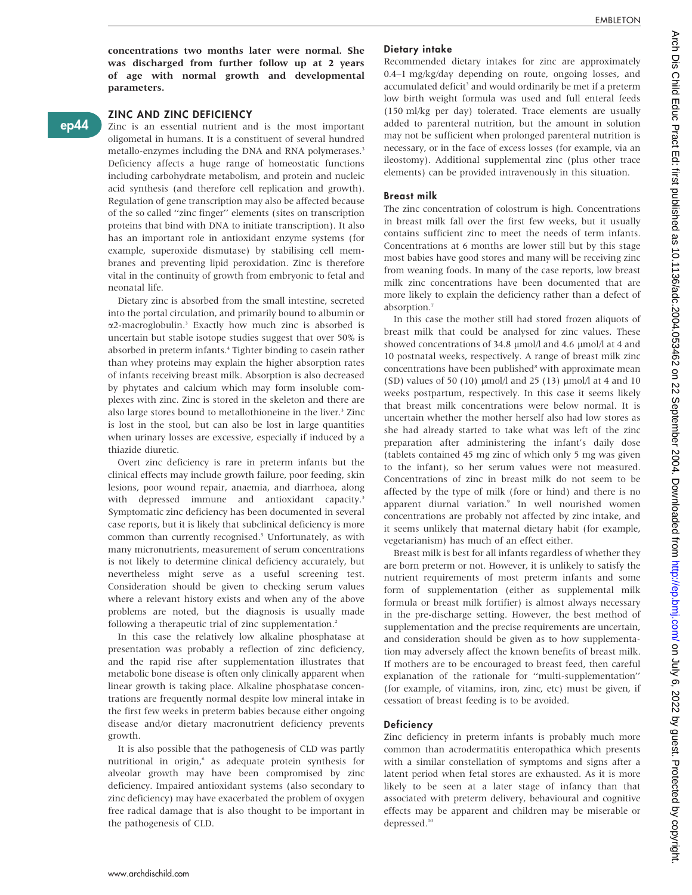concentrations two months later were normal. She was discharged from further follow up at 2 years of age with normal growth and developmental parameters.

#### ZINC AND ZINC DEFICIENCY

ep44

Zinc is an essential nutrient and is the most important oligometal in humans. It is a constituent of several hundred metallo-enzymes including the DNA and RNA polymerases.<sup>3</sup> Deficiency affects a huge range of homeostatic functions including carbohydrate metabolism, and protein and nucleic acid synthesis (and therefore cell replication and growth). Regulation of gene transcription may also be affected because of the so called ''zinc finger'' elements (sites on transcription proteins that bind with DNA to initiate transcription). It also has an important role in antioxidant enzyme systems (for example, superoxide dismutase) by stabilising cell membranes and preventing lipid peroxidation. Zinc is therefore vital in the continuity of growth from embryonic to fetal and neonatal life.

Dietary zinc is absorbed from the small intestine, secreted into the portal circulation, and primarily bound to albumin or  $\alpha$ 2-macroglobulin.<sup>3</sup> Exactly how much zinc is absorbed is uncertain but stable isotope studies suggest that over 50% is absorbed in preterm infants.<sup>4</sup> Tighter binding to casein rather than whey proteins may explain the higher absorption rates of infants receiving breast milk. Absorption is also decreased by phytates and calcium which may form insoluble complexes with zinc. Zinc is stored in the skeleton and there are also large stores bound to metallothioneine in the liver.<sup>3</sup> Zinc is lost in the stool, but can also be lost in large quantities when urinary losses are excessive, especially if induced by a thiazide diuretic.

Overt zinc deficiency is rare in preterm infants but the clinical effects may include growth failure, poor feeding, skin lesions, poor wound repair, anaemia, and diarrhoea, along with depressed immune and antioxidant capacity.<sup>3</sup> Symptomatic zinc deficiency has been documented in several case reports, but it is likely that subclinical deficiency is more common than currently recognised.<sup>5</sup> Unfortunately, as with many micronutrients, measurement of serum concentrations is not likely to determine clinical deficiency accurately, but nevertheless might serve as a useful screening test. Consideration should be given to checking serum values where a relevant history exists and when any of the above problems are noted, but the diagnosis is usually made following a therapeutic trial of zinc supplementation.<sup>2</sup>

In this case the relatively low alkaline phosphatase at presentation was probably a reflection of zinc deficiency, and the rapid rise after supplementation illustrates that metabolic bone disease is often only clinically apparent when linear growth is taking place. Alkaline phosphatase concentrations are frequently normal despite low mineral intake in the first few weeks in preterm babies because either ongoing disease and/or dietary macronutrient deficiency prevents growth.

It is also possible that the pathogenesis of CLD was partly nutritional in origin,<sup>6</sup> as adequate protein synthesis for alveolar growth may have been compromised by zinc deficiency. Impaired antioxidant systems (also secondary to zinc deficiency) may have exacerbated the problem of oxygen free radical damage that is also thought to be important in the pathogenesis of CLD.

#### Dietary intake

Recommended dietary intakes for zinc are approximately 0.4–1 mg/kg/day depending on route, ongoing losses, and accumulated deficit<sup>3</sup> and would ordinarily be met if a preterm low birth weight formula was used and full enteral feeds (150 ml/kg per day) tolerated. Trace elements are usually added to parenteral nutrition, but the amount in solution may not be sufficient when prolonged parenteral nutrition is necessary, or in the face of excess losses (for example, via an ileostomy). Additional supplemental zinc (plus other trace elements) can be provided intravenously in this situation.

#### Breast milk

The zinc concentration of colostrum is high. Concentrations in breast milk fall over the first few weeks, but it usually contains sufficient zinc to meet the needs of term infants. Concentrations at 6 months are lower still but by this stage most babies have good stores and many will be receiving zinc from weaning foods. In many of the case reports, low breast milk zinc concentrations have been documented that are more likely to explain the deficiency rather than a defect of absorption.<sup>7</sup>

In this case the mother still had stored frozen aliquots of breast milk that could be analysed for zinc values. These showed concentrations of 34.8 µmol/l and 4.6 µmol/l at 4 and 10 postnatal weeks, respectively. A range of breast milk zinc concentrations have been published<sup>8</sup> with approximate mean (SD) values of 50 (10)  $\mu$ mol/l and 25 (13)  $\mu$ mol/l at 4 and 10 weeks postpartum, respectively. In this case it seems likely that breast milk concentrations were below normal. It is uncertain whether the mother herself also had low stores as she had already started to take what was left of the zinc preparation after administering the infant's daily dose (tablets contained 45 mg zinc of which only 5 mg was given to the infant), so her serum values were not measured. Concentrations of zinc in breast milk do not seem to be affected by the type of milk (fore or hind) and there is no apparent diurnal variation.<sup>9</sup> In well nourished women concentrations are probably not affected by zinc intake, and it seems unlikely that maternal dietary habit (for example, vegetarianism) has much of an effect either.

Breast milk is best for all infants regardless of whether they are born preterm or not. However, it is unlikely to satisfy the nutrient requirements of most preterm infants and some form of supplementation (either as supplemental milk formula or breast milk fortifier) is almost always necessary in the pre-discharge setting. However, the best method of supplementation and the precise requirements are uncertain, and consideration should be given as to how supplementation may adversely affect the known benefits of breast milk. If mothers are to be encouraged to breast feed, then careful explanation of the rationale for ''multi-supplementation'' (for example, of vitamins, iron, zinc, etc) must be given, if cessation of breast feeding is to be avoided.

#### **Deficiency**

Zinc deficiency in preterm infants is probably much more common than acrodermatitis enteropathica which presents with a similar constellation of symptoms and signs after a latent period when fetal stores are exhausted. As it is more likely to be seen at a later stage of infancy than that associated with preterm delivery, behavioural and cognitive effects may be apparent and children may be miserable or depressed.10